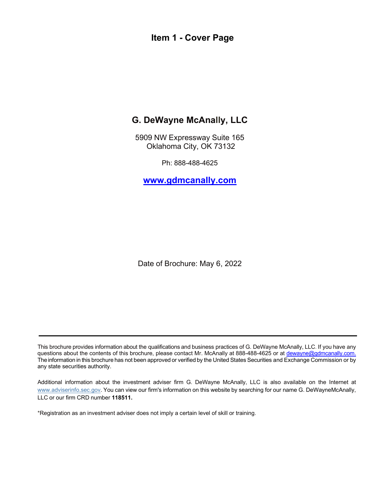### <span id="page-0-0"></span>**Item 1 - Cover Page**

# **G. DeWayne McAnally, LLC**

5909 NW Expressway Suite 165 Oklahoma City, OK 73132

Ph: 888-488-4625

**[www.gdmcanally.com](http://www.gdmcanally.com/)**

Date of Brochure: May 6, 2022

This brochure provides information about the qualifications and business practices of G. DeWayne McAnally, LLC. If you have any questions about the contents of this brochure, please contact Mr. McAnally at 888-488-4625 or at [dewayne@gdmcanally.com.](mailto:dewayne@gdmcanally.com) The information in this brochure has not been approved or verified by the United States Securities and Exchange Commission or by any state securities authority.

Additional information about the investment adviser firm G. DeWayne McAnally, LLC is also available on the Internet at [www.adviserinfo.sec.gov. Y](http://www.adviserinfo.sec.gov/)ou can view our firm's information on this website by searching for our name G. DeWayneMcAnally, LLC or our firm CRD number **118511.**

\*Registration as an investment adviser does not imply a certain level of skill or training.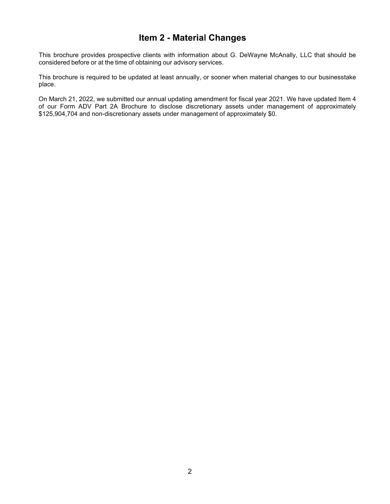### **Item 2 - Material Changes**

<span id="page-1-0"></span>This brochure provides prospective clients with information about G. DeWayne McAnally, LLC that should be considered before or at the time of obtaining our advisory services.

This brochure is required to be updated at least annually, or sooner when material changes to our businesstake place.

On March 21, 2022, we submitted our annual updating amendment for fiscal year 2021. We have updated Item 4 of our Form ADV Part 2A Brochure to disclose discretionary assets under management of approximately \$125,904,704 and non-discretionary assets under management of approximately \$0.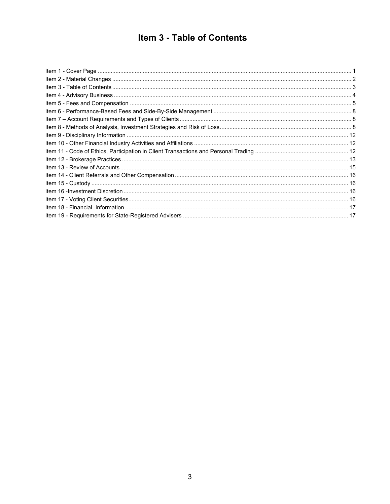# Item 3 - Table of Contents

<span id="page-2-0"></span>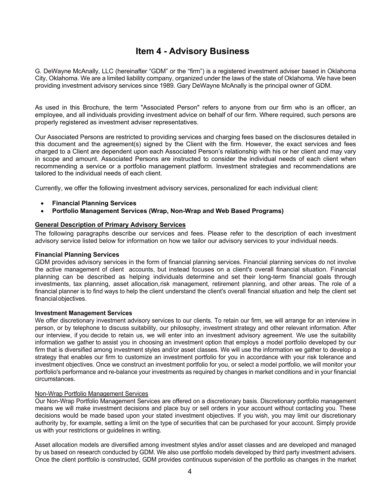### **Item 4 - Advisory Business**

<span id="page-3-0"></span>G. DeWayne McAnally, LLC (hereinafter "GDM" or the "firm") is a registered investment adviser based in Oklahoma City, Oklahoma. We are a limited liability company, organized under the laws of the state of Oklahoma. We have been providing investment advisory services since 1989. Gary DeWayne McAnally is the principal owner of GDM.

As used in this Brochure, the term "Associated Person" refers to anyone from our firm who is an officer, an employee, and all individuals providing investment advice on behalf of our firm. Where required, such persons are properly registered as investment adviser representatives.

Our Associated Persons are restricted to providing services and charging fees based on the disclosures detailed in this document and the agreement(s) signed by the Client with the firm. However, the exact services and fees charged to a Client are dependent upon each Associated Person's relationship with his or her client and may vary in scope and amount. Associated Persons are instructed to consider the individual needs of each client when recommending a service or a portfolio management platform. Investment strategies and recommendations are tailored to the individual needs of each client.

Currently, we offer the following investment advisory services, personalized for each individual client:

- **Financial Planning Services**
- **Portfolio Management Services (Wrap, Non-Wrap and Web Based Programs)**

#### **General Description of Primary Advisory Services**

The following paragraphs describe our services and fees. Please refer to the description of each investment advisory service listed below for information on how we tailor our advisory services to your individual needs.

#### **Financial Planning Services**

GDM provides advisory services in the form of financial planning services. Financial planning services do not involve the active management of client accounts, but instead focuses on a client's overall financial situation. Financial planning can be described as helping individuals determine and set their long-term financial goals through investments, tax planning, asset allocation,risk management, retirement planning, and other areas. The role of a financial planner is to find ways to help the client understand the client's overall financial situation and help the client set financial objectives.

#### **Investment Management Services**

We offer discretionary investment advisory services to our clients. To retain our firm, we will arrange for an interview in person, or by telephone to discuss suitability, our philosophy, investment strategy and other relevant information. After our interview, if you decide to retain us, we will enter into an investment advisory agreement. We use the suitability information we gather to assist you in choosing an investment option that employs a model portfolio developed by our firm that is diversified among investment styles and/or asset classes. We will use the information we gather to develop a strategy that enables our firm to customize an investment portfolio for you in accordance with your risk tolerance and investment objectives. Once we construct an investment portfolio for you, or select a model portfolio, we will monitor your portfolio's performance and re-balance your investments as required by changes in market conditions and in your financial circumstances.

#### Non-Wrap Portfolio Management Services

Our Non-Wrap Portfolio Management Services are offered on a discretionary basis. Discretionary portfolio management means we will make investment decisions and place buy or sell orders in your account without contacting you. These decisions would be made based upon your stated investment objectives. If you wish, you may limit our discretionary authority by, for example, setting a limit on the type of securities that can be purchased for your account. Simply provide us with your restrictions or guidelines in writing.

Asset allocation models are diversified among investment styles and/or asset classes and are developed and managed by us based on research conducted by GDM. We also use portfolio models developed by third party investment advisers. Once the client portfolio is constructed, GDM provides continuous supervision of the portfolio as changes in the market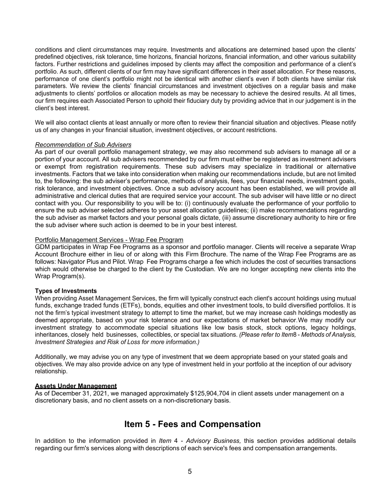conditions and client circumstances may require. Investments and allocations are determined based upon the clients' predefined objectives, risk tolerance, time horizons, financial horizons, financial information, and other various suitability factors. Further restrictions and guidelines imposed by clients may affect the composition and performance of a client's portfolio. As such, different clients of our firm may have significant differences in their asset allocation. For these reasons, performance of one client's portfolio might not be identical with another client's even if both clients have similar risk parameters. We review the clients' financial circumstances and investment objectives on a regular basis and make adjustments to clients' portfolios or allocation models as may be necessary to achieve the desired results. At all times, our firm requires each Associated Person to uphold their fiduciary duty by providing advice that in our judgement is in the client's best interest.

We will also contact clients at least annually or more often to review their financial situation and objectives. Please notify us of any changes in your financial situation, investment objectives, or account restrictions.

#### *Recommendation of Sub Advisers*

As part of our overall portfolio management strategy, we may also recommend sub advisers to manage all or a portion of your account. All sub advisers recommended by our firm must either be registered as investment advisers or exempt from registration requirements. These sub advisers may specialize in traditional or alternative investments. Factors that we take into consideration when making our recommendations include, but are not limited to, the following: the sub adviser's performance, methods of analysis, fees, your financial needs, investment goals, risk tolerance, and investment objectives. Once a sub advisory account has been established, we will provide all administrative and clerical duties that are required service your account. The sub adviser will have little or no direct contact with you. Our responsibility to you will be to: (i) continuously evaluate the performance of your portfolio to ensure the sub adviser selected adheres to your asset allocation guidelines; (ii) make recommendations regarding the sub adviser as market factors and your personal goals dictate, (iii) assume discretionary authority to hire or fire the sub adviser where such action is deemed to be in your best interest.

#### Portfolio Management Services - Wrap Fee Program

GDM participates in Wrap Fee Programs as a sponsor and portfolio manager. Clients will receive a separate Wrap Account Brochure either in lieu of or along with this Firm Brochure. The name of the Wrap Fee Programs are as follows: Navigator Plus and Pilot. Wrap Fee Programs charge a fee which includes the cost of securities transactions which would otherwise be charged to the client by the Custodian. We are no longer accepting new clients into the Wrap Program(s).

#### **Types of Investments**

When providing Asset Management Services, the firm will typically construct each client's account holdings using mutual funds, exchange traded funds (ETFs), bonds, equities and other investment tools, to build diversified portfolios. It is not the firm's typical investment strategy to attempt to time the market, but we may increase cash holdings modestly as deemed appropriate, based on your risk tolerance and our expectations of market behavior. We may modify our investment strategy to accommodate special situations like low basis stock, stock options, legacy holdings, inheritances, closely held businesses, collectibles, or special tax situations. *(Please refer to Item*8 - *Methods of Analysis, Investment Strategies and Risk of Loss for more information.)* 

Additionally, we may advise you on any type of investment that we deem appropriate based on your stated goals and objectives. We may also provide advice on any type of investment held in your portfolio at the inception of our advisory relationship.

#### **Assets Under Management**

As of December 31, 2021, we managed approximately \$125,904,704 in client assets under management on a discretionary basis, and no client assets on a non-discretionary basis.

### **Item 5 - Fees and Compensation**

<span id="page-4-0"></span>In addition to the information provided in *Item* 4 - *Advisory Business,* this section provides additional details regarding our firm's services along with descriptions of each service's fees and compensation arrangements.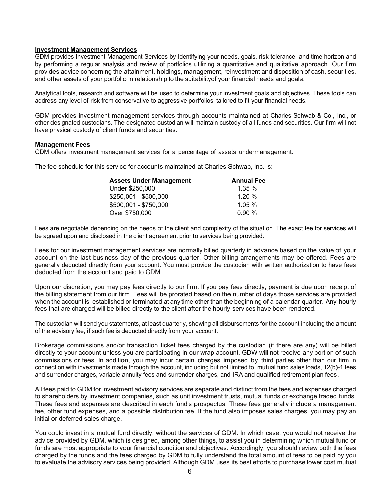#### **Investment Management Services**

GDM provides Investment Management Services by Identifying your needs, goals, risk tolerance, and time horizon and by performing a regular analysis and review of portfolios utilizing a quantitative and qualitative approach. Our firm provides advice concerning the attainment, holdings, management, reinvestment and disposition of cash, securities, and other assets of your portfolio in relationship to the suitabilityof your financial needs and goals.

Analytical tools, research and software will be used to determine your investment goals and objectives. These tools can address any level of risk from conservative to aggressive portfolios, tailored to fit your financial needs.

GDM provides investment management services through accounts maintained at Charles Schwab & Co., Inc., or other designated custodians. The designated custodian will maintain custody of all funds and securities. Our firm will not have physical custody of client funds and securities.

#### **Management Fees**

GDM offers investment management services for a percentage of assets undermanagement.

The fee schedule for this service for accounts maintained at Charles Schwab, Inc. is:

| <b>Annual Fee</b> |
|-------------------|
| $1.35 \%$         |
| 1.20%             |
| 1.05%             |
| 0.90%             |
|                   |

Fees are negotiable depending on the needs of the client and complexity of the situation. The exact fee for services will be agreed upon and disclosed in the client agreement prior to services being provided.

Fees for our investment management services are normally billed quarterly in advance based on the value of your account on the last business day of the previous quarter. Other billing arrangements may be offered. Fees are generally deducted directly from your account. You must provide the custodian with written authorization to have fees deducted from the account and paid to GDM.

Upon our discretion, you may pay fees directly to our firm. If you pay fees directly, payment is due upon receipt of the billing statement from our firm. Fees will be prorated based on the number of days those services are provided when the account is established or terminated at any time other than the beginning of a calendar quarter. Any hourly fees that are charged will be billed directly to the client after the hourly services have been rendered.

The custodian will send you statements, at least quarterly, showing all disbursements for the account including the amount of the advisory fee, if such fee is deducted directly from your account.

Brokerage commissions and/or transaction ticket fees charged by the custodian (if there are any) will be billed directly to your account unless you are participating in our wrap account. GDW will not receive any portion of such commissions or fees. In addition, you may incur certain charges imposed by third parties other than our firm in connection with investments made through the account, including but not limited to, mutual fund sales loads, 12(b)-1 fees and surrender charges, variable annuity fees and surrender charges, and IRA and qualified retirement plan fees.

All fees paid to GDM for investment advisory services are separate and distinct from the fees and expenses charged to shareholders by investment companies, such as unit investment trusts, mutual funds or exchange traded funds. These fees and expenses are described in each fund's prospectus. These fees generally include a management fee, other fund expenses, and a possible distribution fee. If the fund also imposes sales charges, you may pay an initial or deferred sales charge.

You could invest in a mutual fund directly, without the services of GDM. In which case, you would not receive the advice provided by GDM, which is designed, among other things, to assist you in determining which mutual fund or funds are most appropriate to your financial condition and objectives. Accordingly, you should review both the fees charged by the funds and the fees charged by GDM to fully understand the total amount of fees to be paid by you to evaluate the advisory services being provided. Although GDM uses its best efforts to purchase lower cost mutual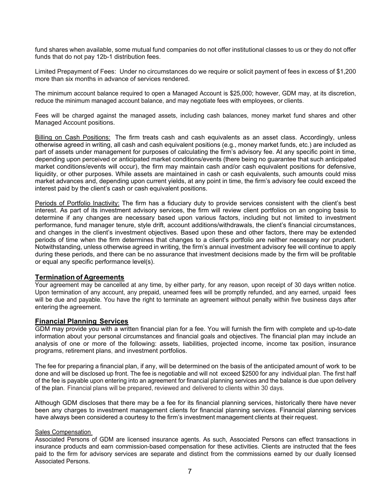fund shares when available, some mutual fund companies do not offer institutional classes to us or they do not offer funds that do not pay 12b-1 distribution fees.

Limited Prepayment of Fees: Under no circumstances do we require or solicit payment of fees in excess of \$1,200 more than six months in advance of services rendered.

The minimum account balance required to open a Managed Account is \$25,000; however, GDM may, at its discretion, reduce the minimum managed account balance, and may negotiate fees with employees, or clients.

Fees will be charged against the managed assets, including cash balances, money market fund shares and other Managed Account positions.

Billing on Cash Positions: The firm treats cash and cash equivalents as an asset class. Accordingly, unless otherwise agreed in writing, all cash and cash equivalent positions (e.g., money market funds, etc.) are included as part of assets under management for purposes of calculating the firm's advisory fee. At any specific point in time, depending upon perceived or anticipated market conditions/events (there being no guarantee that such anticipated market conditions/events will occur), the firm may maintain cash and/or cash equivalent positions for defensive, liquidity, or other purposes. While assets are maintained in cash or cash equivalents, such amounts could miss market advances and, depending upon current yields, at any point in time, the firm's advisory fee could exceed the interest paid by the client's cash or cash equivalent positions.

Periods of Portfolio Inactivity: The firm has a fiduciary duty to provide services consistent with the client's best interest. As part of its investment advisory services, the firm will review client portfolios on an ongoing basis to determine if any changes are necessary based upon various factors, including but not limited to investment performance, fund manager tenure, style drift, account additions/withdrawals, the client's financial circumstances, and changes in the client's investment objectives. Based upon these and other factors, there may be extended periods of time when the firm determines that changes to a client's portfolio are neither necessary nor prudent. Notwithstanding, unless otherwise agreed in writing, the firm's annual investment advisory fee will continue to apply during these periods, and there can be no assurance that investment decisions made by the firm will be profitable or equal any specific performance level(s).

#### **Termination of Agreements**

Your agreement may be cancelled at any time, by either party, for any reason, upon receipt of 30 days written notice. Upon termination of any account, any prepaid, unearned fees will be promptly refunded, and any earned, unpaid fees will be due and payable. You have the right to terminate an agreement without penalty within five business days after entering the agreement.

#### **Financial Planning Services**

GDM may provide you with a written financial plan for a fee. You will furnish the firm with complete and up-to-date information about your personal circumstances and financial goals and objectives. The financial plan may include an analysis of one or more of the following: assets, liabilities, projected income, income tax position, insurance programs, retirement plans, and investment portfolios.

The fee for preparing a financial plan, if any, will be determined on the basis of the anticipated amount of work to be done and will be disclosed up front. The fee is negotiable and will not exceed \$2500 for any individual plan. The first half of the fee is payable upon entering into an agreement for financial planning services and the balance is due upon delivery of the plan. Financial plans will be prepared, reviewed and delivered to clients within 30 days.

Although GDM discloses that there may be a fee for its financial planning services, historically there have never been any charges to investment management clients for financial planning services. Financial planning services have always been considered a courtesy to the firm's investment management clients at their request.

#### Sales Compensation

Associated Persons of GDM are licensed insurance agents. As such, Associated Persons can effect transactions in insurance products and earn commission-based compensation for these activities. Clients are instructed that the fees paid to the firm for advisory services are separate and distinct from the commissions earned by our dually licensed Associated Persons.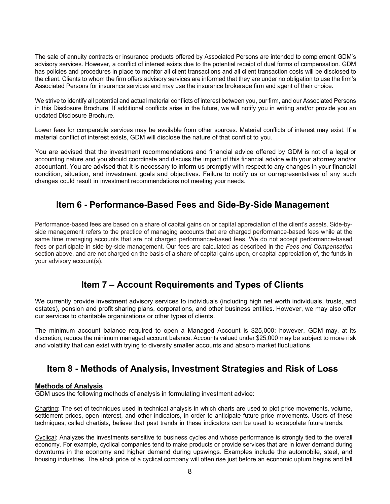The sale of annuity contracts or insurance products offered by Associated Persons are intended to complement GDM's advisory services. However, a conflict of interest exists due to the potential receipt of dual forms of compensation. GDM has policies and procedures in place to monitor all client transactions and all client transaction costs will be disclosed to the client. Clients to whom the firm offers advisory services are informed that they are under no obligation to use the firm's Associated Persons for insurance services and may use the insurance brokerage firm and agent of their choice.

We strive to identify all potential and actual material conflicts of interest between you, our firm, and our Associated Persons in this Disclosure Brochure. If additional conflicts arise in the future, we will notify you in writing and/or provide you an updated Disclosure Brochure.

Lower fees for comparable services may be available from other sources. Material conflicts of interest may exist. If a material conflict of interest exists, GDM will disclose the nature of that conflict to you.

You are advised that the investment recommendations and financial advice offered by GDM is not of a legal or accounting nature and you should coordinate and discuss the impact of this financial advice with your attorney and/or accountant. You are advised that it is necessary to inform us promptly with respect to any changes in your financial condition, situation, and investment goals and objectives. Failure to notify us or ourrepresentatives of any such changes could result in investment recommendations not meeting your needs.

# **Item 6 - Performance-Based Fees and Side-By-Side Management**

<span id="page-7-0"></span>Performance-based fees are based on a share of capital gains on or capital appreciation of the client's assets. Side-byside management refers to the practice of managing accounts that are charged performance-based fees while at the same time managing accounts that are not charged performance-based fees. We do not accept performance-based fees or participate in side-by-side management. Our fees are calculated as described in the *Fees and Compensation*  section above, and are not charged on the basis of a share of capital gains upon, or capital appreciation of, the funds in your advisory account(s).

# **Item 7 – Account Requirements and Types of Clients**

<span id="page-7-1"></span>We currently provide investment advisory services to individuals (including high net worth individuals, trusts, and estates), pension and profit sharing plans, corporations, and other business entities. However, we may also offer our services to charitable organizations or other types of clients.

The minimum account balance required to open a Managed Account is \$25,000; however, GDM may, at its discretion, reduce the minimum managed account balance. Accounts valued under \$25,000 may be subject to more risk and volatility that can exist with trying to diversify smaller accounts and absorb market fluctuations.

# **Item 8 - Methods of Analysis, Investment Strategies and Risk of Loss**

#### <span id="page-7-2"></span>**Methods of Analysis**

GDM uses the following methods of analysis in formulating investment advice:

Charting: The set of techniques used in technical analysis in which charts are used to plot price movements, volume, settlement prices, open interest, and other indicators, in order to anticipate future price movements. Users of these techniques, called chartists, believe that past trends in these indicators can be used to extrapolate future trends.

Cyclical: Analyzes the investments sensitive to business cycles and whose performance is strongly tied to the overall economy. For example, cyclical companies tend to make products or provide services that are in lower demand during downturns in the economy and higher demand during upswings. Examples include the automobile, steel, and housing industries. The stock price of a cyclical company will often rise just before an economic upturn begins and fall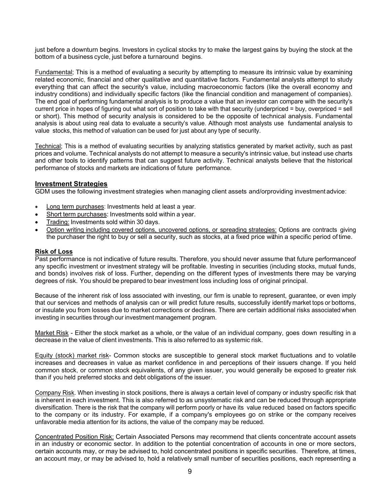just before a downturn begins. Investors in cyclical stocks try to make the largest gains by buying the stock at the bottom of a business cycle, just before a turnaround begins.

Fundamental; This is a method of evaluating a security by attempting to measure its intrinsic value by examining related economic, financial and other qualitative and quantitative factors. Fundamental analysts attempt to study everything that can affect the security's value, including macroeconomic factors (like the overall economy and industry conditions) and individually specific factors (like the financial condition and management of companies). The end goal of performing fundamental analysis is to produce a value that an investor can compare with the security's current price in hopes of figuring out what sort of position to take with that security (underpriced = buy, overpriced = sell or short). This method of security analysis is considered to be the opposite of technical analysis. Fundamental analysis is about using real data to evaluate a security's value. Although most analysts use fundamental analysis to value stocks, this method of valuation can be used for just about any type of security.

Technical; This is a method of evaluating securities by analyzing statistics generated by market activity, such as past prices and volume. Technical analysts do not attempt to measure a security's intrinsic value, but instead use charts and other tools to identify patterns that can suggest future activity. Technical analysts believe that the historical performance of stocks and markets are indications of future performance.

#### **Investment Strategies**

GDM uses the following investment strategies when managing client assets and/orproviding investment advice:

- Long term purchases: Investments held at least a year.
- Short term purchases: Investments sold within a year.
- Trading: Investments sold within 30 days.
- Option writing including covered options, uncovered options, or spreading strategies: Options are contracts giving the purchaser the right to buy or sell a security, such as stocks, at a fixed price within a specific period of time.

#### **Risk of Loss**

Past performance is not indicative of future results. Therefore, you should never assume that future performanceof any specific investment or investment strategy will be profitable. Investing in securities (including stocks, mutual funds, and bonds) involves risk of loss. Further, depending on the different types of investments there may be varying degrees of risk. You should be prepared to bear investment loss including loss of original principal.

Because of the inherent risk of loss associated with investing, our firm is unable to represent, guarantee, or even imply that our services and methods of analysis can or will predict future results, successfully identify market tops or bottoms, or insulate you from losses due to market corrections or declines. There are certain additional risks associated when investing in securities through our investment management program.

Market Risk - Either the stock market as a whole, or the value of an individual company, goes down resulting in a decrease in the value of client investments. This is also referred to as systemic risk.

Equity (stock) market risk- Common stocks are susceptible to general stock market fluctuations and to volatile increases and decreases in value as market confidence in and perceptions of their issuers change. If you held common stock, or common stock equivalents, of any given issuer, you would generally be exposed to greater risk than if you held preferred stocks and debt obligations of the issuer.

Company Risk. When investing in stock positions, there is always a certain level of company or industry specific risk that is inherent in each investment. This is also referred to as unsystematic risk and can be reduced through appropriate diversification. There is the risk that the company will perform poorly or have its value reduced based on factors specific to the company or its industry. For example, if a company's employees go on strike or the company receives unfavorable media attention for its actions, the value of the company may be reduced.

Concentrated Position Risk: Certain Associated Persons may recommend that clients concentrate account assets in an industry or economic sector. In addition to the potential concentration of accounts in one or more sectors, certain accounts may, or may be advised to, hold concentrated positions in specific securities. Therefore, at times, an account may, or may be advised to, hold a relatively small number of securities positions, each representing a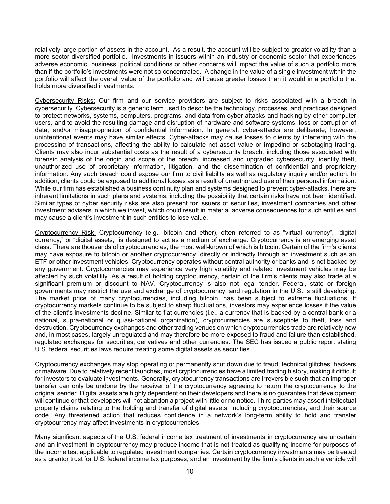relatively large portion of assets in the account. As a result, the account will be subject to greater volatility than a more sector diversified portfolio. Investments in issuers within an industry or economic sector that experiences adverse economic, business, political conditions or other concerns will impact the value of such a portfolio more than if the portfolio's investments were not so concentrated. A change in the value of a single investment within the portfolio will affect the overall value of the portfolio and will cause greater losses than it would in a portfolio that holds more diversified investments.

Cybersecurity Risks: Our firm and our service providers are subject to risks associated with a breach in cybersecurity. Cybersecurity is a generic term used to describe the technology, processes, and practices designed to protect networks, systems, computers, programs, and data from cyber-attacks and hacking by other computer users, and to avoid the resulting damage and disruption of hardware and software systems, loss or corruption of data, and/or misappropriation of confidential information. In general, cyber-attacks are deliberate; however, unintentional events may have similar effects. Cyber-attacks may cause losses to clients by interfering with the processing of transactions, affecting the ability to calculate net asset value or impeding or sabotaging trading. Clients may also incur substantial costs as the result of a cybersecurity breach, including those associated with forensic analysis of the origin and scope of the breach, increased and upgraded cybersecurity, identity theft, unauthorized use of proprietary information, litigation, and the dissemination of confidential and proprietary information. Any such breach could expose our firm to civil liability as well as regulatory inquiry and/or action. In addition, clients could be exposed to additional losses as a result of unauthorized use of their personal information. While our firm has established a business continuity plan and systems designed to prevent cyber-attacks, there are inherent limitations in such plans and systems, including the possibility that certain risks have not been identified. Similar types of cyber security risks are also present for issuers of securities, investment companies and other investment advisers in which we invest, which could result in material adverse consequences for such entities and may cause a client's investment in such entities to lose value.

Cryptocurrency Risk: Cryptocurrency (e.g., bitcoin and ether), often referred to as "virtual currency", "digital currency," or "digital assets," is designed to act as a medium of exchange. Cryptocurrency is an emerging asset class. There are thousands of cryptocurrencies, the most well-known of which is bitcoin. Certain of the firm's clients may have exposure to bitcoin or another cryptocurrency, directly or indirectly through an investment such as an ETF or other investment vehicles. Cryptocurrency operates without central authority or banks and is not backed by any government. Cryptocurrencies may experience very high volatility and related investment vehicles may be affected by such volatility. As a result of holding cryptocurrency, certain of the firm's clients may also trade at a significant premium or discount to NAV. Cryptocurrency is also not legal tender. Federal, state or foreign governments may restrict the use and exchange of cryptocurrency, and regulation in the U.S. is still developing. The market price of many cryptocurrencies, including bitcoin, has been subject to extreme fluctuations. If cryptocurrency markets continue to be subject to sharp fluctuations, investors may experience losses if the value of the client's investments decline. Similar to fiat currencies (i.e., a currency that is backed by a central bank or a national, supra-national or quasi-national organization), cryptocurrencies are susceptible to theft, loss and destruction. Cryptocurrency exchanges and other trading venues on which cryptocurrencies trade are relatively new and, in most cases, largely unregulated and may therefore be more exposed to fraud and failure than established, regulated exchanges for securities, derivatives and other currencies. The SEC has issued a public report stating U.S. federal securities laws require treating some digital assets as securities.

Cryptocurrency exchanges may stop operating or permanently shut down due to fraud, technical glitches, hackers or malware. Due to relatively recent launches, most cryptocurrencies have a limited trading history, making it difficult for investors to evaluate investments. Generally, cryptocurrency transactions are irreversible such that an improper transfer can only be undone by the receiver of the cryptocurrency agreeing to return the cryptocurrency to the original sender. Digital assets are highly dependent on their developers and there is no guarantee that development will continue or that developers will not abandon a project with little or no notice. Third parties may assert intellectual property claims relating to the holding and transfer of digital assets, including cryptocurrencies, and their source code. Any threatened action that reduces confidence in a network's long-term ability to hold and transfer cryptocurrency may affect investments in cryptocurrencies.

Many significant aspects of the U.S. federal income tax treatment of investments in cryptocurrency are uncertain and an investment in cryptocurrency may produce income that is not treated as qualifying income for purposes of the income test applicable to regulated investment companies. Certain cryptocurrency investments may be treated as a grantor trust for U.S. federal income tax purposes, and an investment by the firm's clients in such a vehicle will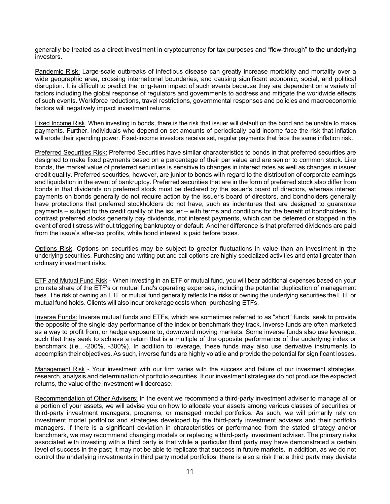generally be treated as a direct investment in cryptocurrency for tax purposes and "flow-through" to the underlying investors.

Pandemic Risk: Large-scale outbreaks of infectious disease can greatly increase morbidity and mortality over a wide geographic area, crossing international boundaries, and causing significant economic, social, and political disruption. It is difficult to predict the long-term impact of such events because they are dependent on a variety of factors including the global response of regulators and governments to address and mitigate the worldwide effects of such events. Workforce reductions, travel restrictions, governmental responses and policies and macroeconomic factors will negatively impact investment returns.

Fixed Income Risk. When investing in bonds, there is the risk that issuer will default on the bond and be unable to make payments. Further, individuals who depend on set amounts of periodically paid income face the risk that inflation will erode their spending power. Fixed-income investors receive set, regular payments that face the same inflation risk.

Preferred Securities Risk: Preferred Securities have similar characteristics to bonds in that preferred securities are designed to make fixed payments based on a percentage of their par value and are senior to common stock. Like bonds, the market value of preferred securities is sensitive to changes in interest rates as well as changes in issuer credit quality. Preferred securities, however, are junior to bonds with regard to the distribution of corporate earnings and liquidation in the event of bankruptcy. Preferred securities that are in the form of preferred stock also differ from bonds in that dividends on preferred stock must be declared by the issuer's board of directors, whereas interest payments on bonds generally do not require action by the issuer's board of directors, and bondholders generally have protections that preferred stockholders do not have, such as indentures that are designed to guarantee payments – subject to the credit quality of the issuer – with terms and conditions for the benefit of bondholders. In contrast preferred stocks generally pay dividends, not interest payments, which can be deferred or stopped in the event of credit stress without triggering bankruptcy or default. Another difference is that preferred dividends are paid from the issue's after-tax profits, while bond interest is paid before taxes.

Options Risk. Options on securities may be subject to greater fluctuations in value than an investment in the underlying securities. Purchasing and writing put and call options are highly specialized activities and entail greater than ordinary investment risks.

ETF and Mutual Fund Risk - When investing in an ETF or mutual fund, you will bear additional expenses based on your pro rata share of the ETF's or mutual fund's operating expenses, including the potential duplication of management fees. The risk of owning an ETF or mutual fund generally reflects the risks of owning the underlying securities the ETF or mutual fund holds. Clients will also incur brokerage costs when purchasing ETFs.

Inverse Funds: Inverse mutual funds and ETFs, which are sometimes referred to as "short" funds, seek to provide the opposite of the single-day performance of the index or benchmark they track. Inverse funds are often marketed as a way to profit from, or hedge exposure to, downward moving markets. Some inverse funds also use leverage, such that they seek to achieve a return that is a multiple of the opposite performance of the underlying index or benchmark (i.e., -200%, -300%). In addition to leverage, these funds may also use derivative instruments to accomplish their objectives. As such, inverse funds are highly volatile and provide the potential for significant losses.

Management Risk - Your investment with our firm varies with the success and failure of our investment strategies, research, analysis and determination of portfolio securities. If our investment strategies do not produce the expected returns, the value of the investment will decrease.

Recommendation of Other Advisers: In the event we recommend a third-party investment adviser to manage all or a portion of your assets, we will advise you on how to allocate your assets among various classes of securities or third-party investment managers, programs, or managed model portfolios. As such, we will primarily rely on investment model portfolios and strategies developed by the third-party investment advisers and their portfolio managers. If there is a significant deviation in characteristics or performance from the stated strategy and/or benchmark, we may recommend changing models or replacing a third-party investment adviser. The primary risks associated with investing with a third party is that while a particular third party may have demonstrated a certain level of success in the past; it may not be able to replicate that success in future markets. In addition, as we do not control the underlying investments in third party model portfolios, there is also a risk that a third party may deviate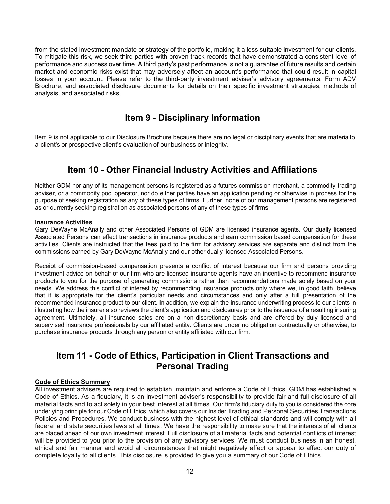from the stated investment mandate or strategy of the portfolio, making it a less suitable investment for our clients. To mitigate this risk, we seek third parties with proven track records that have demonstrated a consistent level of performance and success over time. A third party's past performance is not a guarantee of future results and certain market and economic risks exist that may adversely affect an account's performance that could result in capital losses in your account. Please refer to the third-party investment adviser's advisory agreements, Form ADV Brochure, and associated disclosure documents for details on their specific investment strategies, methods of analysis, and associated risks.

# **Item 9 - Disciplinary Information**

<span id="page-11-0"></span>Item 9 is not applicable to our Disclosure Brochure because there are no legal or disciplinary events that are materialto a client's or prospective client's evaluation of our business or integrity.

### **Item 10 - Other Financial Industry Activities and Affiliations**

<span id="page-11-1"></span>Neither GDM nor any of its management persons is registered as a futures commission merchant, a commodity trading adviser, or a commodity pool operator, nor do either parties have an application pending or otherwise in process for the purpose of seeking registration as any of these types of firms. Further, none of our management persons are registered as or currently seeking registration as associated persons of any of these types of firms

#### **Insurance Activities**

Gary DeWayne McAnally and other Associated Persons of GDM are licensed insurance agents. Our dually licensed Associated Persons can effect transactions in insurance products and earn commission based compensation for these activities. Clients are instructed that the fees paid to the firm for advisory services are separate and distinct from the commissions earned by Gary DeWayne McAnally and our other dually licensed Associated Persons.

Receipt of commission-based compensation presents a conflict of interest because our firm and persons providing investment advice on behalf of our firm who are licensed insurance agents have an incentive to recommend insurance products to you for the purpose of generating commissions rather than recommendations made solely based on your needs. We address this conflict of interest by recommending insurance products only where we, in good faith, believe that it is appropriate for the client's particular needs and circumstances and only after a full presentation of the recommended insurance product to our client. In addition, we explain the insurance underwriting process to our clients in illustrating how the insurer also reviews the client's application and disclosures prior to the issuance of a resulting insuring agreement. Ultimately, all insurance sales are on a non-discretionary basis and are offered by duly licensed and supervised insurance professionals by our affiliated entity. Clients are under no obligation contractually or otherwise, to purchase insurance products through any person or entity affiliated with our firm.

### **Item 11 - Code of Ethics, Participation in Client Transactions and Personal Trading**

#### <span id="page-11-2"></span>**Code of Ethics Summary**

All investment advisers are required to establish, maintain and enforce a Code of Ethics. GDM has established a Code of Ethics. As a fiduciary, it is an investment adviser's responsibility to provide fair and full disclosure of all material facts and to act solely in your best interest at all times. Our firm's fiduciary duty to you is considered the core underlying principle for our Code of Ethics, which also covers our Insider Trading and Personal Securities Transactions Policies and Procedures. We conduct business with the highest level of ethical standards and will comply with all federal and state securities laws at all times. We have the responsibility to make sure that the interests of all clients are placed ahead of our own investment interest. Full disclosure of all material facts and potential conflicts of interest will be provided to you prior to the provision of any advisory services. We must conduct business in an honest, ethical and fair manner and avoid all circumstances that might negatively affect or appear to affect our duty of complete loyalty to all clients. This disclosure is provided to give you a summary of our Code of Ethics.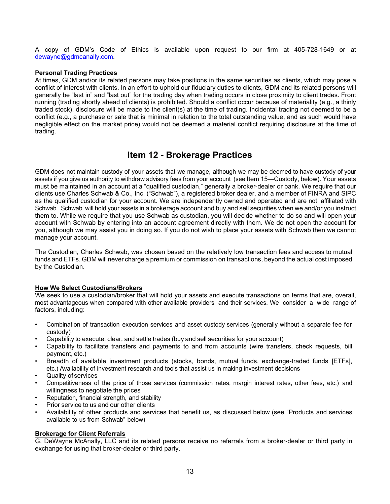A copy of GDM's Code of Ethics is available upon request to our firm at 405-728-1649 or at [dewayne@gdmcanally.com.](mailto:dewayne@gdmcanally.com)

#### **Personal Trading Practices**

At times, GDM and/or its related persons may take positions in the same securities as clients, which may pose a conflict of interest with clients. In an effort to uphold our fiduciary duties to clients, GDM and its related persons will generally be "last in" and "last out" for the trading day when trading occurs in close proximity to client trades. Front running (trading shortly ahead of clients) is prohibited. Should a conflict occur because of materiality (e.g., a thinly traded stock), disclosure will be made to the client(s) at the time of trading. Incidental trading not deemed to be a conflict (e.g., a purchase or sale that is minimal in relation to the total outstanding value, and as such would have negligible effect on the market price) would not be deemed a material conflict requiring disclosure at the time of trading.

### **Item 12 - Brokerage Practices**

<span id="page-12-0"></span>GDM does not maintain custody of your assets that we manage, although we may be deemed to have custody of your assets if you give us authority to withdraw advisory fees from your account (see Item 15—Custody, below). Your assets must be maintained in an account at a "qualified custodian," generally a broker-dealer or bank. We require that our clients use Charles Schwab & Co., Inc. ("Schwab"), a registered broker dealer, and a member of FINRA and SIPC as the qualified custodian for your account. We are independently owned and operated and are not affiliated with Schwab. Schwab will hold your assets in a brokerage account and buy and sell securities when we and/or you instruct them to. While we require that you use Schwab as custodian, you will decide whether to do so and will open your account with Schwab by entering into an account agreement directly with them. We do not open the account for you, although we may assist you in doing so. If you do not wish to place your assets with Schwab then we cannot manage your account.

The Custodian, Charles Schwab, was chosen based on the relatively low transaction fees and access to mutual funds and ETFs. GDM will never charge a premium or commission on transactions, beyond the actual cost imposed by the Custodian.

#### **How We Select Custodians/Brokers**

We seek to use a custodian/broker that will hold your assets and execute transactions on terms that are, overall, most advantageous when compared with other available providers and their services. We consider a wide range of factors, including:

- Combination of transaction execution services and asset custody services (generally without a separate fee for custody)
- Capability to execute, clear, and settle trades (buy and sell securities for your account)
- Capability to facilitate transfers and payments to and from accounts (wire transfers, check requests, bill payment, etc.)
- Breadth of available investment products (stocks, bonds, mutual funds, exchange-traded funds [ETFs], etc.) Availability of investment research and tools that assist us in making investment decisions
- Quality of services
- Competitiveness of the price of those services (commission rates, margin interest rates, other fees, etc.) and willingness to negotiate the prices
- Reputation, financial strength, and stability
- Prior service to us and our other clients
- Availability of other products and services that benefit us, as discussed below (see "Products and services available to us from Schwab" below)

#### **Brokerage for Client Referrals**

G. DeWayne McAnally, LLC and its related persons receive no referrals from a broker-dealer or third party in exchange for using that broker-dealer or third party.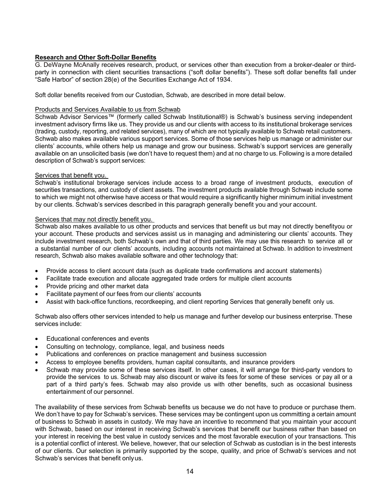#### **Research and Other Soft-Dollar Benefits**

G. DeWayne McAnally receives research, product, or services other than execution from a broker-dealer or thirdparty in connection with client securities transactions ("soft dollar benefits"). These soft dollar benefits fall under "Safe Harbor" of section 28(e) of the Securities Exchange Act of 1934.

Soft dollar benefits received from our Custodian, Schwab, are described in more detail below.

#### Products and Services Available to us from Schwab

Schwab Advisor Services™ (formerly called Schwab Institutional®) is Schwab's business serving independent investment advisory firms like us. They provide us and our clients with access to its institutional brokerage services (trading, custody, reporting, and related services), many of which are not typically available to Schwab retail customers. Schwab also makes available various support services. Some of those services help us manage or administer our clients' accounts, while others help us manage and grow our business. Schwab's support services are generally available on an unsolicited basis (we don't have to request them) and at no charge to us. Following is a more detailed description of Schwab's support services:

#### Services that benefit you.

Schwab's institutional brokerage services include access to a broad range of investment products, execution of securities transactions, and custody of client assets. The investment products available through Schwab include some to which we might not otherwise have access or that would require a significantly higher minimum initial investment by our clients. Schwab's services described in this paragraph generally benefit you and your account.

#### Services that may not directly benefit you.

Schwab also makes available to us other products and services that benefit us but may not directly benefityou or your account. These products and services assist us in managing and administering our clients' accounts. They include investment research, both Schwab's own and that of third parties. We may use this research to service all or a substantial number of our clients' accounts, including accounts not maintained at Schwab. In addition to investment research, Schwab also makes available software and other technology that:

- Provide access to client account data (such as duplicate trade confirmations and account statements)
- Facilitate trade execution and allocate aggregated trade orders for multiple client accounts
- Provide pricing and other market data
- Facilitate payment of our fees from our clients' accounts
- Assist with back-office functions, recordkeeping, and client reporting Services that generally benefit only us.

Schwab also offers other services intended to help us manage and further develop our business enterprise. These services include:

- Educational conferences and events
- Consulting on technology, compliance, legal, and business needs
- Publications and conferences on practice management and business succession
- Access to employee benefits providers, human capital consultants, and insurance providers
- Schwab may provide some of these services itself. In other cases, it will arrange for third-party vendors to provide the services to us. Schwab may also discount or waive its fees for some of these services or pay all or a part of a third party's fees. Schwab may also provide us with other benefits, such as occasional business entertainment of our personnel.

The availability of these services from Schwab benefits us because we do not have to produce or purchase them. We don't have to pay for Schwab's services. These services may be contingent upon us committing a certain amount of business to Schwab in assets in custody. We may have an incentive to recommend that you maintain your account with Schwab, based on our interest in receiving Schwab's services that benefit our business rather than based on your interest in receiving the best value in custody services and the most favorable execution of your transactions. This is a potential conflict of interest. We believe, however, that our selection of Schwab as custodian is in the best interests of our clients. Our selection is primarily supported by the scope, quality, and price of Schwab's services and not Schwab's services that benefit onlyus.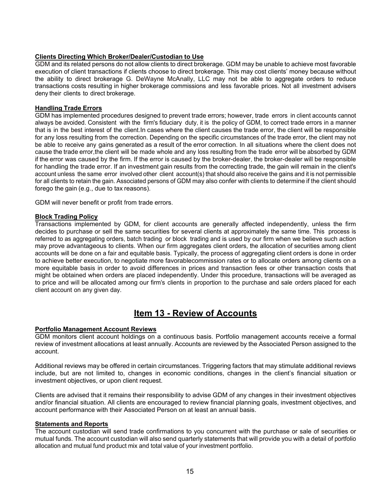#### **Clients Directing Which Broker/Dealer/Custodian to Use**

GDM and its related persons do not allow clients to direct brokerage. GDM may be unable to achieve most favorable execution of client transactions if clients choose to direct brokerage. This may cost clients' money because without the ability to direct brokerage G. DeWayne McAnally, LLC may not be able to aggregate orders to reduce transactions costs resulting in higher brokerage commissions and less favorable prices. Not all investment advisers deny their clients to direct brokerage.

#### **Handling Trade Errors**

GDM has implemented procedures designed to prevent trade errors; however, trade errors in client accounts cannot always be avoided. Consistent with the firm's fiduciary duty, it is the policy of GDM, to correct trade errors in a manner that is in the best interest of the client. In cases where the client causes the trade error, the client will be responsible for any loss resulting from the correction. Depending on the specific circumstances of the trade error, the client may not be able to receive any gains generated as a result of the error correction. In all situations where the client does not cause the trade error, the client will be made whole and any loss resulting from the trade error will be absorbed by GDM if the error was caused by the firm. If the error is caused by the broker-dealer, the broker- dealer will be responsible for handling the trade error. If an investment gain results from the correcting trade, the gain will remain in the client's account unless the same error involved other client account(s) that should also receive the gains and it is not permissible for all clients to retain the gain. Associated persons of GDM may also confer with clients to determine if the client should forego the gain (e.g., due to tax reasons).

GDM will never benefit or profit from trade errors.

#### **Block Trading Policy**

Transactions implemented by GDM, for client accounts are generally affected independently, unless the firm decides to purchase or sell the same securities for several clients at approximately the same time. This process is referred to as aggregating orders, batch trading or block trading and is used by our firm when we believe such action may prove advantageous to clients. When our firm aggregates client orders, the allocation of securities among client accounts will be done on a fair and equitable basis. Typically, the process of aggregating client orders is done in order to achieve better execution, to negotiate more favorablecommission rates or to allocate orders among clients on a more equitable basis in order to avoid differences in prices and transaction fees or other transaction costs that might be obtained when orders are placed independently. Under this procedure, transactions will be averaged as to price and will be allocated among our firm's clients in proportion to the purchase and sale orders placed for each client account on any given day.

### **Item 13 - Review of Accounts**

#### <span id="page-14-0"></span>**Portfolio Management Account Reviews**

GDM monitors client account holdings on a continuous basis. Portfolio management accounts receive a formal review of investment allocations at least annually. Accounts are reviewed by the Associated Person assigned to the account.

Additional reviews may be offered in certain circumstances. Triggering factors that may stimulate additional reviews include, but are not limited to, changes in economic conditions, changes in the client's financial situation or investment objectives, or upon client request.

Clients are advised that it remains their responsibility to advise GDM of any changes in their investment objectives and/or financial situation. All clients are encouraged to review financial planning goals, investment objectives, and account performance with their Associated Person on at least an annual basis.

#### **Statements and Reports**

The account custodian will send trade confirmations to you concurrent with the purchase or sale of securities or mutual funds. The account custodian will also send quarterly statements that will provide you with a detail of portfolio allocation and mutual fund product mix and total value of your investment portfolio.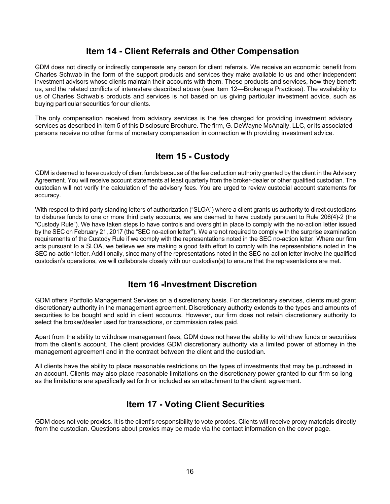### **Item 14 - Client Referrals and Other Compensation**

<span id="page-15-0"></span>GDM does not directly or indirectly compensate any person for client referrals. We receive an economic benefit from Charles Schwab in the form of the support products and services they make available to us and other independent investment advisors whose clients maintain their accounts with them. These products and services, how they benefit us, and the related conflicts of interestare described above (see Item 12—Brokerage Practices). The availability to us of Charles Schwab's products and services is not based on us giving particular investment advice, such as buying particular securities for our clients.

The only compensation received from advisory services is the fee charged for providing investment advisory services as described in Item 5 of this Disclosure Brochure. The firm, G. DeWayne McAnally, LLC, or its associated persons receive no other forms of monetary compensation in connection with providing investment advice.

# **Item 15 - Custody**

<span id="page-15-1"></span>GDM is deemed to have custody of client funds because of the fee deduction authority granted by the client in the Advisory Agreement. You will receive account statements at least quarterly from the broker-dealer or other qualified custodian. The custodian will not verify the calculation of the advisory fees. You are urged to review custodial account statements for accuracy.

With respect to third party standing letters of authorization ("SLOA") where a client grants us authority to direct custodians to disburse funds to one or more third party accounts, we are deemed to have custody pursuant to Rule 206(4)-2 (the "Custody Rule"). We have taken steps to have controls and oversight in place to comply with the no-action letter issued by the SEC on February 21, 2017 (the "SEC no-action letter"). We are not required to comply with the surprise examination requirements of the Custody Rule if we comply with the representations noted in the SEC no-action letter. Where our firm acts pursuant to a SLOA, we believe we are making a good faith effort to comply with the representations noted in the SEC no-action letter. Additionally, since many of the representations noted in the SEC no-action letter involve the qualified custodian's operations, we will collaborate closely with our custodian(s) to ensure that the representations are met.

### **Item 16 -Investment Discretion**

<span id="page-15-2"></span>GDM offers Portfolio Management Services on a discretionary basis. For discretionary services, clients must grant discretionary authority in the management agreement. Discretionary authority extends to the types and amounts of securities to be bought and sold in client accounts. However, our firm does not retain discretionary authority to select the broker/dealer used for transactions, or commission rates paid.

Apart from the ability to withdraw management fees, GDM does not have the ability to withdraw funds or securities from the client's account. The client provides GDM discretionary authority via a limited power of attorney in the management agreement and in the contract between the client and the custodian.

All clients have the ability to place reasonable restrictions on the types of investments that may be purchased in an account. Clients may also place reasonable limitations on the discretionary power granted to our firm so long as the limitations are specifically set forth or included as an attachment to the client agreement.

# **Item 17 - Voting Client Securities**

<span id="page-15-3"></span>GDM does not vote proxies. It is the client's responsibility to vote proxies. Clients will receive proxy materials directly from the custodian. Questions about proxies may be made via the contact information on the cover page.